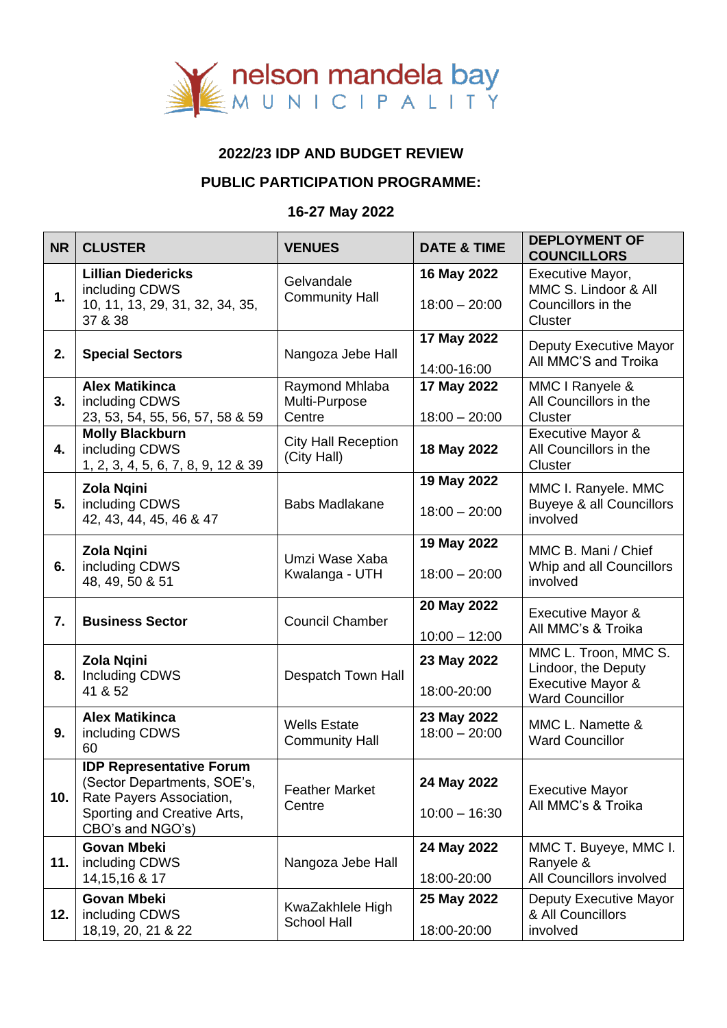

## **2022/23 IDP AND BUDGET REVIEW**

## **PUBLIC PARTICIPATION PROGRAMME:**

## **16-27 May 2022**

| <b>NR</b> | <b>CLUSTER</b>                                                                                                                                | <b>VENUES</b>                                | <b>DATE &amp; TIME</b>         | <b>DEPLOYMENT OF</b><br><b>COUNCILLORS</b>                                                 |
|-----------|-----------------------------------------------------------------------------------------------------------------------------------------------|----------------------------------------------|--------------------------------|--------------------------------------------------------------------------------------------|
| 1.        | <b>Lillian Diedericks</b><br>including CDWS<br>10, 11, 13, 29, 31, 32, 34, 35,<br>37 & 38                                                     | Gelvandale<br><b>Community Hall</b>          | 16 May 2022<br>$18:00 - 20:00$ | Executive Mayor,<br>MMC S. Lindoor & All<br>Councillors in the<br>Cluster                  |
| 2.        | <b>Special Sectors</b>                                                                                                                        | Nangoza Jebe Hall                            | 17 May 2022<br>14:00-16:00     | Deputy Executive Mayor<br>All MMC'S and Troika                                             |
| 3.        | <b>Alex Matikinca</b><br>including CDWS<br>23, 53, 54, 55, 56, 57, 58 & 59                                                                    | Raymond Mhlaba<br>Multi-Purpose<br>Centre    | 17 May 2022<br>$18:00 - 20:00$ | MMC I Ranyele &<br>All Councillors in the<br>Cluster                                       |
| 4.        | <b>Molly Blackburn</b><br>including CDWS<br>1, 2, 3, 4, 5, 6, 7, 8, 9, 12 & 39                                                                | <b>City Hall Reception</b><br>(City Hall)    | 18 May 2022                    | Executive Mayor &<br>All Councillors in the<br>Cluster                                     |
| 5.        | <b>Zola Ngini</b><br>including CDWS<br>42, 43, 44, 45, 46 & 47                                                                                | <b>Babs Madlakane</b>                        | 19 May 2022<br>$18:00 - 20:00$ | MMC I. Ranyele. MMC<br><b>Buyeye &amp; all Councillors</b><br>involved                     |
| 6.        | Zola Ngini<br>including CDWS<br>48, 49, 50 & 51                                                                                               | Umzi Wase Xaba<br>Kwalanga - UTH             | 19 May 2022<br>$18:00 - 20:00$ | MMC B. Mani / Chief<br>Whip and all Councillors<br>involved                                |
| 7.        | <b>Business Sector</b>                                                                                                                        | <b>Council Chamber</b>                       | 20 May 2022<br>$10:00 - 12:00$ | <b>Executive Mayor &amp;</b><br>All MMC's & Troika                                         |
| 8.        | <b>Zola Ngini</b><br><b>Including CDWS</b><br>41 & 52                                                                                         | Despatch Town Hall                           | 23 May 2022<br>18:00-20:00     | MMC L. Troon, MMC S.<br>Lindoor, the Deputy<br>Executive Mayor &<br><b>Ward Councillor</b> |
| 9.        | <b>Alex Matikinca</b><br>including CDWS<br>60                                                                                                 | <b>Wells Estate</b><br><b>Community Hall</b> | 23 May 2022<br>$18:00 - 20:00$ | MMC L. Namette &<br><b>Ward Councillor</b>                                                 |
| 10.       | <b>IDP Representative Forum</b><br>(Sector Departments, SOE's,<br>Rate Payers Association,<br>Sporting and Creative Arts,<br>CBO's and NGO's) | <b>Feather Market</b><br>Centre              | 24 May 2022<br>$10:00 - 16:30$ | <b>Executive Mayor</b><br>All MMC's & Troika                                               |
| 11.       | <b>Govan Mbeki</b><br>including CDWS<br>14, 15, 16 & 17                                                                                       | Nangoza Jebe Hall                            | 24 May 2022<br>18:00-20:00     | MMC T. Buyeye, MMC I.<br>Ranyele &<br>All Councillors involved                             |
| 12.       | <b>Govan Mbeki</b><br>including CDWS<br>18, 19, 20, 21 & 22                                                                                   | KwaZakhlele High<br><b>School Hall</b>       | 25 May 2022<br>18:00-20:00     | Deputy Executive Mayor<br>& All Councillors<br>involved                                    |